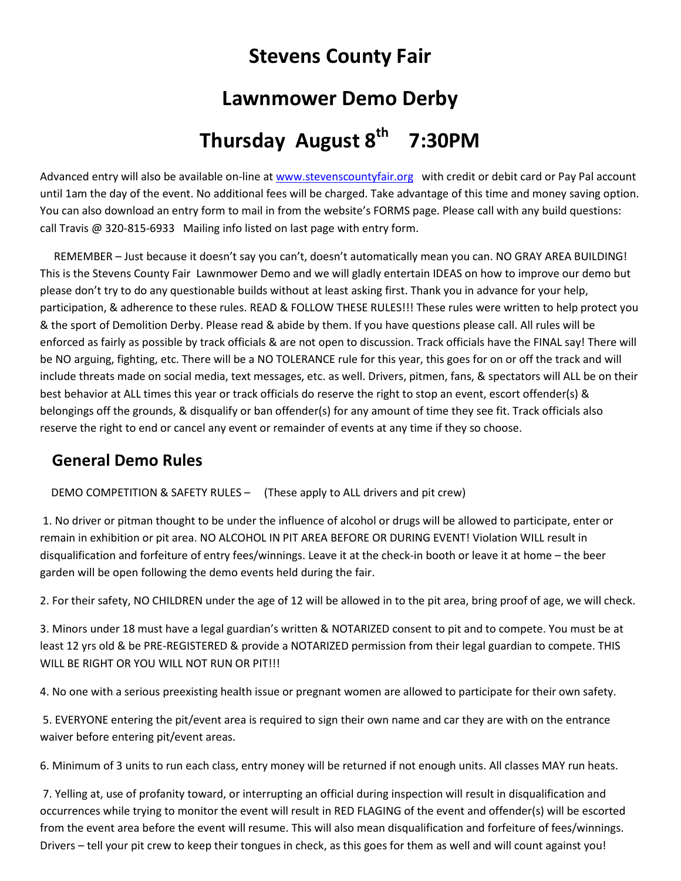## **Stevens County Fair**

### **Lawnmower Demo Derby**

# Thursday August 8<sup>th</sup> 7:30PM

Advanced entry will also be available on-line at [www.stevenscountyfair.org](http://www.stevenscountyfair.org/) with credit or debit card or Pay Pal account until 1am the day of the event. No additional fees will be charged. Take advantage of this time and money saving option. You can also download an entry form to mail in from the website's FORMS page. Please call with any build questions: call Travis @ 320-815-6933 Mailing info listed on last page with entry form.

 REMEMBER – Just because it doesn't say you can't, doesn't automatically mean you can. NO GRAY AREA BUILDING! This is the Stevens County Fair Lawnmower Demo and we will gladly entertain IDEAS on how to improve our demo but please don't try to do any questionable builds without at least asking first. Thank you in advance for your help, participation, & adherence to these rules. READ & FOLLOW THESE RULES!!! These rules were written to help protect you & the sport of Demolition Derby. Please read & abide by them. If you have questions please call. All rules will be enforced as fairly as possible by track officials & are not open to discussion. Track officials have the FINAL say! There will be NO arguing, fighting, etc. There will be a NO TOLERANCE rule for this year, this goes for on or off the track and will include threats made on social media, text messages, etc. as well. Drivers, pitmen, fans, & spectators will ALL be on their best behavior at ALL times this year or track officials do reserve the right to stop an event, escort offender(s) & belongings off the grounds, & disqualify or ban offender(s) for any amount of time they see fit. Track officials also reserve the right to end or cancel any event or remainder of events at any time if they so choose.

### **General Demo Rules**

#### DEMO COMPETITION & SAFETY RULES – (These apply to ALL drivers and pit crew)

1. No driver or pitman thought to be under the influence of alcohol or drugs will be allowed to participate, enter or remain in exhibition or pit area. NO ALCOHOL IN PIT AREA BEFORE OR DURING EVENT! Violation WILL result in disqualification and forfeiture of entry fees/winnings. Leave it at the check-in booth or leave it at home – the beer garden will be open following the demo events held during the fair.

2. For their safety, NO CHILDREN under the age of 12 will be allowed in to the pit area, bring proof of age, we will check.

3. Minors under 18 must have a legal guardian's written & NOTARIZED consent to pit and to compete. You must be at least 12 yrs old & be PRE-REGISTERED & provide a NOTARIZED permission from their legal guardian to compete. THIS WILL BE RIGHT OR YOU WILL NOT RUN OR PIT!!!

4. No one with a serious preexisting health issue or pregnant women are allowed to participate for their own safety.

5. EVERYONE entering the pit/event area is required to sign their own name and car they are with on the entrance waiver before entering pit/event areas.

6. Minimum of 3 units to run each class, entry money will be returned if not enough units. All classes MAY run heats.

7. Yelling at, use of profanity toward, or interrupting an official during inspection will result in disqualification and occurrences while trying to monitor the event will result in RED FLAGING of the event and offender(s) will be escorted from the event area before the event will resume. This will also mean disqualification and forfeiture of fees/winnings. Drivers – tell your pit crew to keep their tongues in check, as this goes for them as well and will count against you!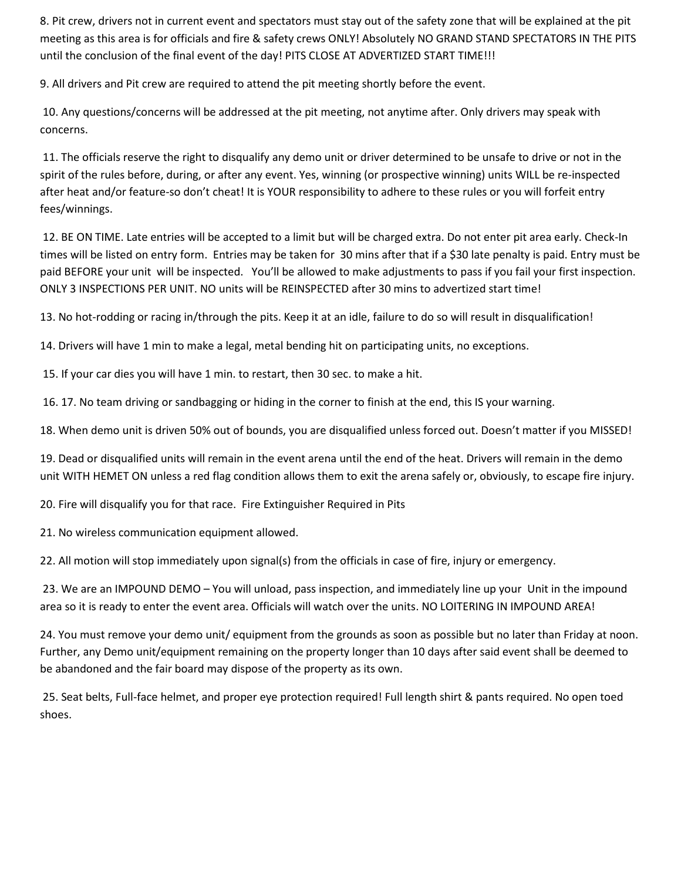8. Pit crew, drivers not in current event and spectators must stay out of the safety zone that will be explained at the pit meeting as this area is for officials and fire & safety crews ONLY! Absolutely NO GRAND STAND SPECTATORS IN THE PITS until the conclusion of the final event of the day! PITS CLOSE AT ADVERTIZED START TIME!!!

9. All drivers and Pit crew are required to attend the pit meeting shortly before the event.

10. Any questions/concerns will be addressed at the pit meeting, not anytime after. Only drivers may speak with concerns.

11. The officials reserve the right to disqualify any demo unit or driver determined to be unsafe to drive or not in the spirit of the rules before, during, or after any event. Yes, winning (or prospective winning) units WILL be re-inspected after heat and/or feature-so don't cheat! It is YOUR responsibility to adhere to these rules or you will forfeit entry fees/winnings.

12. BE ON TIME. Late entries will be accepted to a limit but will be charged extra. Do not enter pit area early. Check-In times will be listed on entry form. Entries may be taken for 30 mins after that if a \$30 late penalty is paid. Entry must be paid BEFORE your unit will be inspected. You'll be allowed to make adjustments to pass if you fail your first inspection. ONLY 3 INSPECTIONS PER UNIT. NO units will be REINSPECTED after 30 mins to advertized start time!

13. No hot-rodding or racing in/through the pits. Keep it at an idle, failure to do so will result in disqualification!

14. Drivers will have 1 min to make a legal, metal bending hit on participating units, no exceptions.

15. If your car dies you will have 1 min. to restart, then 30 sec. to make a hit.

16. 17. No team driving or sandbagging or hiding in the corner to finish at the end, this IS your warning.

18. When demo unit is driven 50% out of bounds, you are disqualified unless forced out. Doesn't matter if you MISSED!

19. Dead or disqualified units will remain in the event arena until the end of the heat. Drivers will remain in the demo unit WITH HEMET ON unless a red flag condition allows them to exit the arena safely or, obviously, to escape fire injury.

20. Fire will disqualify you for that race. Fire Extinguisher Required in Pits

21. No wireless communication equipment allowed.

22. All motion will stop immediately upon signal(s) from the officials in case of fire, injury or emergency.

23. We are an IMPOUND DEMO – You will unload, pass inspection, and immediately line up your Unit in the impound area so it is ready to enter the event area. Officials will watch over the units. NO LOITERING IN IMPOUND AREA!

24. You must remove your demo unit/ equipment from the grounds as soon as possible but no later than Friday at noon. Further, any Demo unit/equipment remaining on the property longer than 10 days after said event shall be deemed to be abandoned and the fair board may dispose of the property as its own.

25. Seat belts, Full-face helmet, and proper eye protection required! Full length shirt & pants required. No open toed shoes.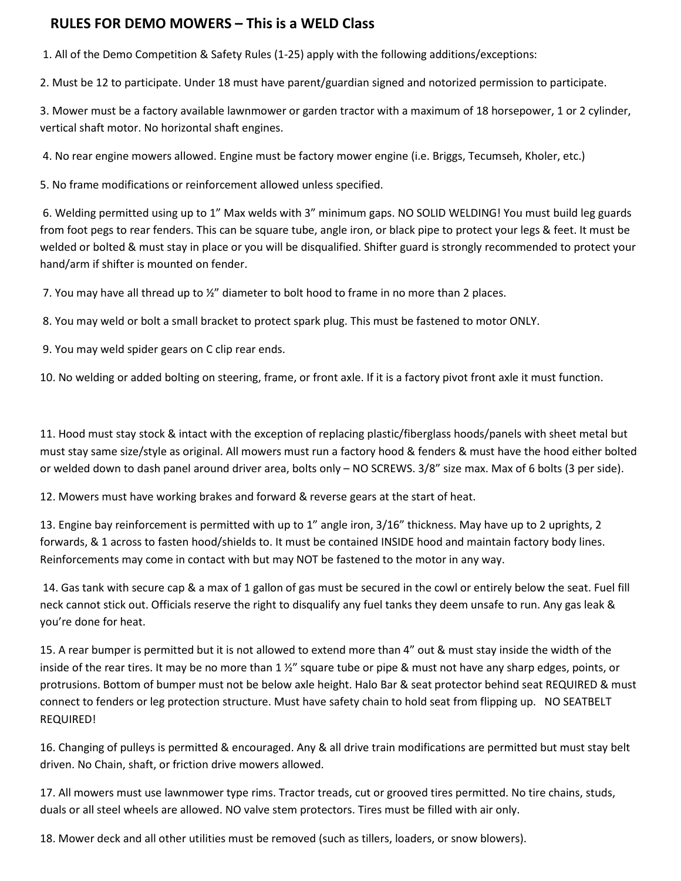#### **RULES FOR DEMO MOWERS – This is a WELD Class**

1. All of the Demo Competition & Safety Rules (1-25) apply with the following additions/exceptions:

2. Must be 12 to participate. Under 18 must have parent/guardian signed and notorized permission to participate.

3. Mower must be a factory available lawnmower or garden tractor with a maximum of 18 horsepower, 1 or 2 cylinder, vertical shaft motor. No horizontal shaft engines.

4. No rear engine mowers allowed. Engine must be factory mower engine (i.e. Briggs, Tecumseh, Kholer, etc.)

5. No frame modifications or reinforcement allowed unless specified.

6. Welding permitted using up to 1" Max welds with 3" minimum gaps. NO SOLID WELDING! You must build leg guards from foot pegs to rear fenders. This can be square tube, angle iron, or black pipe to protect your legs & feet. It must be welded or bolted & must stay in place or you will be disqualified. Shifter guard is strongly recommended to protect your hand/arm if shifter is mounted on fender.

7. You may have all thread up to  $\frac{1}{2}$ " diameter to bolt hood to frame in no more than 2 places.

8. You may weld or bolt a small bracket to protect spark plug. This must be fastened to motor ONLY.

9. You may weld spider gears on C clip rear ends.

10. No welding or added bolting on steering, frame, or front axle. If it is a factory pivot front axle it must function.

11. Hood must stay stock & intact with the exception of replacing plastic/fiberglass hoods/panels with sheet metal but must stay same size/style as original. All mowers must run a factory hood & fenders & must have the hood either bolted or welded down to dash panel around driver area, bolts only – NO SCREWS. 3/8" size max. Max of 6 bolts (3 per side).

12. Mowers must have working brakes and forward & reverse gears at the start of heat.

13. Engine bay reinforcement is permitted with up to 1" angle iron, 3/16" thickness. May have up to 2 uprights, 2 forwards, & 1 across to fasten hood/shields to. It must be contained INSIDE hood and maintain factory body lines. Reinforcements may come in contact with but may NOT be fastened to the motor in any way.

14. Gas tank with secure cap & a max of 1 gallon of gas must be secured in the cowl or entirely below the seat. Fuel fill neck cannot stick out. Officials reserve the right to disqualify any fuel tanks they deem unsafe to run. Any gas leak & you're done for heat.

15. A rear bumper is permitted but it is not allowed to extend more than 4" out & must stay inside the width of the inside of the rear tires. It may be no more than  $1 \frac{1}{2}$  square tube or pipe & must not have any sharp edges, points, or protrusions. Bottom of bumper must not be below axle height. Halo Bar & seat protector behind seat REQUIRED & must connect to fenders or leg protection structure. Must have safety chain to hold seat from flipping up. NO SEATBELT REQUIRED!

16. Changing of pulleys is permitted & encouraged. Any & all drive train modifications are permitted but must stay belt driven. No Chain, shaft, or friction drive mowers allowed.

17. All mowers must use lawnmower type rims. Tractor treads, cut or grooved tires permitted. No tire chains, studs, duals or all steel wheels are allowed. NO valve stem protectors. Tires must be filled with air only.

18. Mower deck and all other utilities must be removed (such as tillers, loaders, or snow blowers).